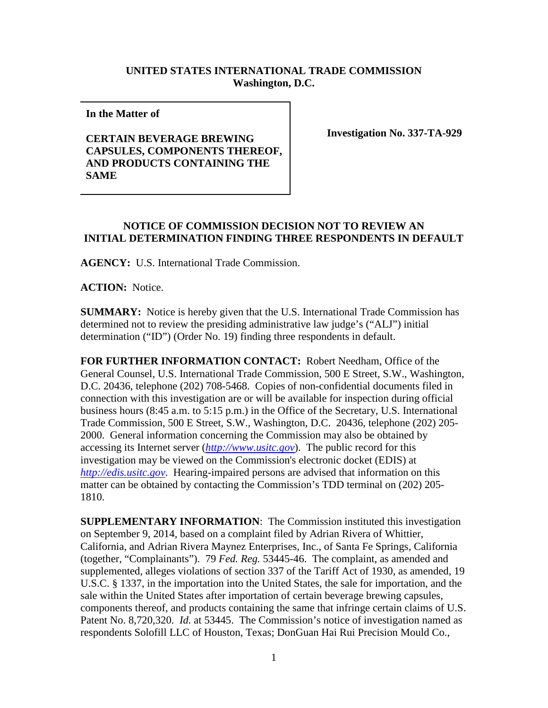## **UNITED STATES INTERNATIONAL TRADE COMMISSION Washington, D.C.**

**In the Matter of** 

## **CERTAIN BEVERAGE BREWING CAPSULES, COMPONENTS THEREOF, AND PRODUCTS CONTAINING THE SAME**

**Investigation No. 337-TA-929**

## **NOTICE OF COMMISSION DECISION NOT TO REVIEW AN INITIAL DETERMINATION FINDING THREE RESPONDENTS IN DEFAULT**

**AGENCY:** U.S. International Trade Commission.

**ACTION:** Notice.

**SUMMARY:** Notice is hereby given that the U.S. International Trade Commission has determined not to review the presiding administrative law judge's ("ALJ") initial determination ("ID") (Order No. 19) finding three respondents in default.

**FOR FURTHER INFORMATION CONTACT:** Robert Needham, Office of the General Counsel, U.S. International Trade Commission, 500 E Street, S.W., Washington, D.C. 20436, telephone (202) 708-5468. Copies of non-confidential documents filed in connection with this investigation are or will be available for inspection during official business hours (8:45 a.m. to 5:15 p.m.) in the Office of the Secretary, U.S. International Trade Commission, 500 E Street, S.W., Washington, D.C. 20436, telephone (202) 205- 2000. General information concerning the Commission may also be obtained by accessing its Internet server (*[http://www.usitc.gov](http://www.usitc.gov/)*). The public record for this investigation may be viewed on the Commission's electronic docket (EDIS) at *[http://edis.usitc.gov](http://edis.usitc.gov/)*. Hearing-impaired persons are advised that information on this matter can be obtained by contacting the Commission's TDD terminal on (202) 205- 1810.

**SUPPLEMENTARY INFORMATION**: The Commission instituted this investigation on September 9, 2014, based on a complaint filed by Adrian Rivera of Whittier, California, and Adrian Rivera Maynez Enterprises, Inc., of Santa Fe Springs, California (together, "Complainants"). 79 *Fed. Reg.* 53445-46. The complaint, as amended and supplemented, alleges violations of section 337 of the Tariff Act of 1930, as amended, 19 U.S.C. § 1337, in the importation into the United States, the sale for importation, and the sale within the United States after importation of certain beverage brewing capsules, components thereof, and products containing the same that infringe certain claims of U.S. Patent No. 8,720,320. *Id.* at 53445. The Commission's notice of investigation named as respondents Solofill LLC of Houston, Texas; DonGuan Hai Rui Precision Mould Co.,